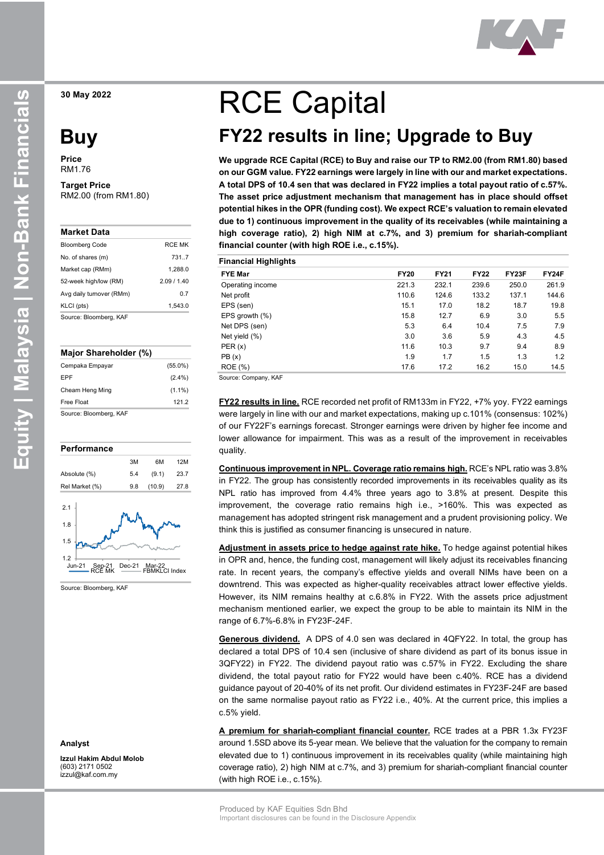**30 May 2022**

# **Buy**

**Price** RM1.76

# **Target Price**

RM2.00 (from RM1.80)

| Market Data              |               |
|--------------------------|---------------|
| <b>Bloomberg Code</b>    | <b>RCF MK</b> |
| No. of shares (m)        | 731 7         |
| Market cap (RMm)         | 1.288.0       |
| 52-week high/low (RM)    | 2.09/1.40     |
| Avg daily turnover (RMm) | 0.7           |
| KLCI (pts)               | 1.543.0       |
| Source: Bloomberg, KAF   |               |

#### **Major Shareholder (%)**

| Cempaka Empayar        | $(55.0\%)$ |
|------------------------|------------|
| EPF                    | $(2.4\%)$  |
| Cheam Heng Ming        | $(1.1\%)$  |
| Free Float             | 121.2      |
| Source: Bloomberg, KAF |            |





Source: Bloomberg, KAF

#### **Analyst**

**Izzul Hakim Abdul Molob** (603) 2171 0502 izzul@kaf.com.my

# RCE Capital

# **FY22 results in line; Upgrade to Buy**

**We upgrade RCE Capital (RCE) to Buy and raise our TP to RM2.00 (from RM1.80) based on our GGM value. FY22 earnings were largely in line with our and market expectations. A total DPS of 10.4 sen that was declared in FY22 implies a total payout ratio of c.57%. The asset price adjustment mechanism that management has in place should offset potential hikes in the OPR (funding cost). We expect RCE's valuation to remain elevated due to 1) continuous improvement in the quality of its receivables (while maintaining a high coverage ratio), 2) high NIM at c.7%, and 3) premium for shariah-compliant financial counter (with high ROE i.e., c.15%).**

| <b>Financial Highlights</b> |             |             |             |       |       |
|-----------------------------|-------------|-------------|-------------|-------|-------|
| <b>FYE Mar</b>              | <b>FY20</b> | <b>FY21</b> | <b>FY22</b> | FY23F | FY24F |
| Operating income            | 221.3       | 232.1       | 239.6       | 250.0 | 261.9 |
| Net profit                  | 110.6       | 124.6       | 133.2       | 137.1 | 144.6 |
| EPS (sen)                   | 15.1        | 17.0        | 18.2        | 18.7  | 19.8  |
| EPS growth $(\%)$           | 15.8        | 12.7        | 6.9         | 3.0   | 5.5   |
| Net DPS (sen)               | 5.3         | 6.4         | 10.4        | 7.5   | 7.9   |
| Net yield (%)               | 3.0         | 3.6         | 5.9         | 4.3   | 4.5   |
| PER(x)                      | 11.6        | 10.3        | 9.7         | 9.4   | 8.9   |
| PB(x)                       | 1.9         | 1.7         | 1.5         | 1.3   | 1.2   |
| <b>ROE</b> (%)              | 17.6        | 17.2        | 16.2        | 15.0  | 14.5  |

Source: Company, KAF

**FY22 results in line.** RCE recorded net profit of RM133m in FY22, +7% yoy. FY22 earnings were largely in line with our and market expectations, making up c.101% (consensus: 102%) of our FY22F's earnings forecast. Stronger earnings were driven by higher fee income and lower allowance for impairment. This was as a result of the improvement in receivables quality.

**Continuous improvement in NPL. Coverage ratio remains high.** RCE's NPL ratio was 3.8% in FY22. The group has consistently recorded improvements in its receivables quality as its NPL ratio has improved from 4.4% three years ago to 3.8% at present. Despite this improvement, the coverage ratio remains high i.e., >160%. This was expected as management has adopted stringent risk management and a prudent provisioning policy. We think this is justified as consumer financing is unsecured in nature.

**Adjustment in assets price to hedge against rate hike.** To hedge against potential hikes in OPR and, hence, the funding cost, management will likely adjust its receivables financing rate. In recent years, the company's effective yields and overall NIMs have been on a downtrend. This was expected as higher-quality receivables attract lower effective yields. However, its NIM remains healthy at c.6.8% in FY22. With the assets price adjustment mechanism mentioned earlier, we expect the group to be able to maintain its NIM in the range of 6.7%-6.8% in FY23F-24F.

**Generous dividend.** A DPS of 4.0 sen was declared in 4QFY22. In total, the group has declared a total DPS of 10.4 sen (inclusive of share dividend as part of its bonus issue in 3QFY22) in FY22. The dividend payout ratio was c.57% in FY22. Excluding the share dividend, the total payout ratio for FY22 would have been c.40%. RCE has a dividend guidance payout of 20-40% of its net profit. Our dividend estimates in FY23F-24F are based on the same normalise payout ratio as FY22 i.e., 40%. At the current price, this implies a c.5% yield.

**A premium for shariah-compliant financial counter.** RCE trades at a PBR 1.3x FY23F around 1.5SD above its 5-year mean. We believe that the valuation for the company to remain elevated due to 1) continuous improvement in its receivables quality (while maintaining high coverage ratio), 2) high NIM at c.7%, and 3) premium for shariah-compliant financial counter (with high ROE i.e., c.15%).

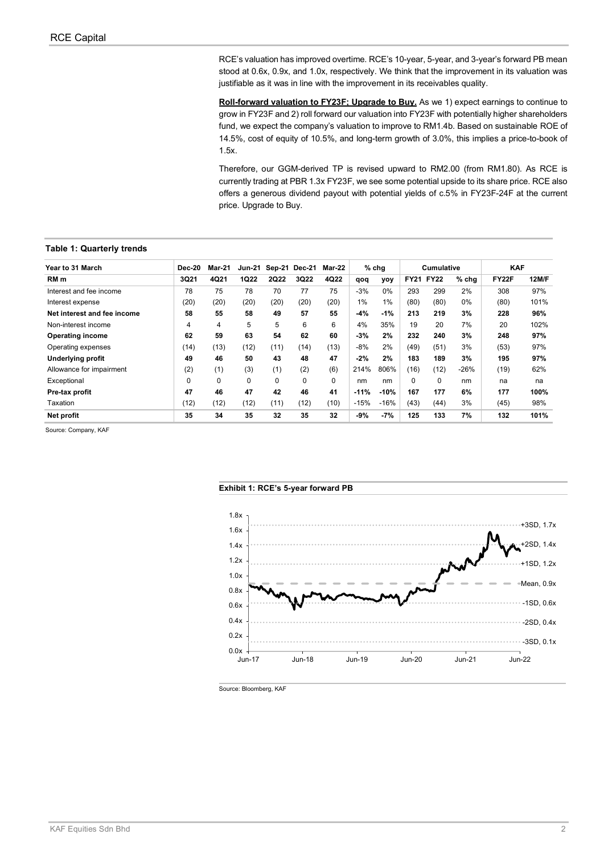RCE's valuation has improved overtime. RCE's 10-year, 5-year, and 3-year's forward PB mean stood at 0.6x, 0.9x, and 1.0x, respectively. We think that the improvement in its valuation was justifiable as it was in line with the improvement in its receivables quality.

**Roll-forward valuation to FY23F; Upgrade to Buy.** As we 1) expect earnings to continue to grow in FY23F and 2) roll forward our valuation into FY23F with potentially higher shareholders fund, we expect the company's valuation to improve to RM1.4b. Based on sustainable ROE of 14.5%, cost of equity of 10.5%, and long-term growth of 3.0%, this implies a price-to-book of 1.5x.

Therefore, our GGM-derived TP is revised upward to RM2.00 (from RM1.80). As RCE is currently trading at PBR 1.3x FY23F, we see some potential upside to its share price. RCE also offers a generous dividend payout with potential yields of c.5% in FY23F-24F at the current price. Upgrade to Buy.

#### **Table 1: Quarterly trends**

| Year to 31 March            | Dec-20   | <b>Mar-21</b> | <b>Jun-21</b> |             | Sep-21 Dec-21 | Mar-22      |        | $%$ chg |             | <b>Cumulative</b> |         | <b>KAF</b>   |              |
|-----------------------------|----------|---------------|---------------|-------------|---------------|-------------|--------|---------|-------------|-------------------|---------|--------------|--------------|
| RM <sub>m</sub>             | 3Q21     | 4Q21          | <b>1Q22</b>   | <b>2Q22</b> | 3Q22          | 4Q22        | qoq    | yoy     | <b>FY21</b> | <b>FY22</b>       | $%$ chg | <b>FY22F</b> | <b>12M/F</b> |
| Interest and fee income     | 78       | 75            | 78            | 70          | 77            | 75          | $-3%$  | $0\%$   | 293         | 299               | 2%      | 308          | 97%          |
| Interest expense            | (20)     | (20)          | (20)          | (20)        | (20)          | (20)        | 1%     | 1%      | (80)        | (80)              | $0\%$   | (80)         | 101%         |
| Net interest and fee income | 58       | 55            | 58            | 49          | 57            | 55          | $-4%$  | $-1%$   | 213         | 219               | 3%      | 228          | 96%          |
| Non-interest income         | 4        | 4             | 5             | 5           | 6             | 6           | 4%     | 35%     | 19          | 20                | 7%      | 20           | 102%         |
| <b>Operating income</b>     | 62       | 59            | 63            | 54          | 62            | 60          | $-3%$  | 2%      | 232         | 240               | 3%      | 248          | 97%          |
| Operating expenses          | (14)     | (13)          | (12)          | (11)        | (14)          | (13)        | $-8%$  | 2%      | (49)        | (51)              | 3%      | (53)         | 97%          |
| <b>Underlying profit</b>    | 49       | 46            | 50            | 43          | 48            | 47          | $-2%$  | 2%      | 183         | 189               | 3%      | 195          | 97%          |
| Allowance for impairment    | (2)      | (1)           | (3)           | (1)         | (2)           | (6)         | 214%   | 806%    | (16)        | (12)              | $-26%$  | (19)         | 62%          |
| Exceptional                 | $\Omega$ | 0             | $\Omega$      | 0           | $\mathbf 0$   | $\mathbf 0$ | nm     | nm      | 0           | $\mathbf 0$       | nm      | na           | na           |
| Pre-tax profit              | 47       | 46            | 47            | 42          | 46            | 41          | $-11%$ | $-10%$  | 167         | 177               | 6%      | 177          | 100%         |
| Taxation                    | (12)     | (12)          | (12)          | (11)        | (12)          | (10)        | $-15%$ | $-16%$  | (43)        | (44)              | 3%      | (45)         | 98%          |
| Net profit                  | 35       | 34            | 35            | 32          | 35            | 32          | -9%    | $-7%$   | 125         | 133               | 7%      | 132          | 101%         |

Source: Company, KAF

#### **Exhibit 1: RCE's 5-year forward PB**



Source: Bloomberg, KAF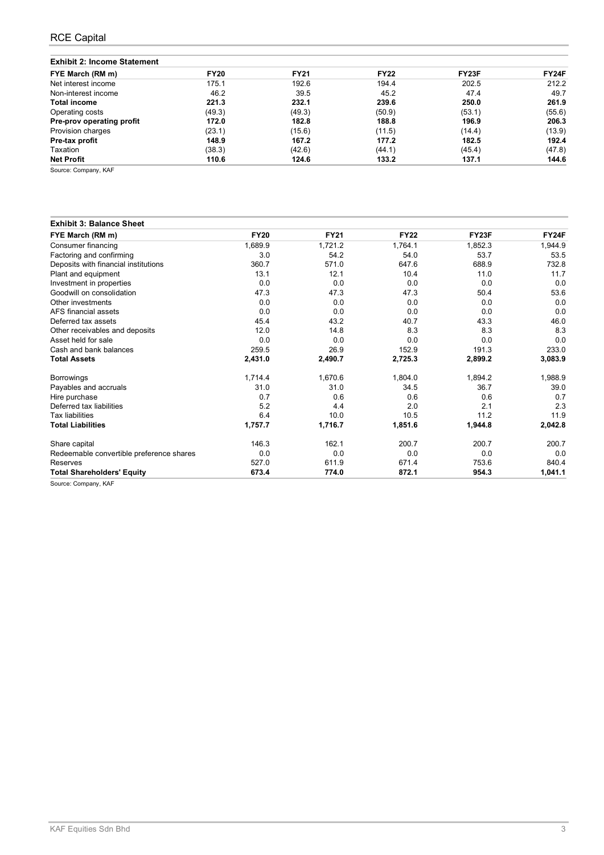## RCE Capital

| <b>Exhibit 2: Income Statement</b> |  |  |  |
|------------------------------------|--|--|--|
|------------------------------------|--|--|--|

| <b>FY20</b> | <b>FY21</b> | <b>FY22</b> | FY23F  | FY24F  |
|-------------|-------------|-------------|--------|--------|
| 175.1       | 192.6       | 194.4       | 202.5  | 212.2  |
| 46.2        | 39.5        | 45.2        | 47.4   | 49.7   |
| 221.3       | 232.1       | 239.6       | 250.0  | 261.9  |
| (49.3)      | (49.3)      | (50.9)      | (53.1) | (55.6) |
| 172.0       | 182.8       | 188.8       | 196.9  | 206.3  |
| (23.1)      | (15.6)      | (11.5)      | (14.4) | (13.9) |
| 148.9       | 167.2       | 177.2       | 182.5  | 192.4  |
| (38.3)      | (42.6)      | (44.1)      | (45.4) | (47.8) |
| 110.6       | 124.6       | 133.2       | 137.1  | 144.6  |
|             |             |             |        |        |

Source: Company, KAF

## **Exhibit 3: Balance Sheet**

| FYE March (RM m)                         | <b>FY20</b> | <b>FY21</b> | <b>FY22</b> | FY23F   | FY24F   |
|------------------------------------------|-------------|-------------|-------------|---------|---------|
| Consumer financing                       | 1,689.9     | 1,721.2     | 1,764.1     | 1,852.3 | 1,944.9 |
| Factoring and confirming                 | 3.0         | 54.2        | 54.0        | 53.7    | 53.5    |
| Deposits with financial institutions     | 360.7       | 571.0       | 647.6       | 688.9   | 732.8   |
| Plant and equipment                      | 13.1        | 12.1        | 10.4        | 11.0    | 11.7    |
| Investment in properties                 | 0.0         | 0.0         | 0.0         | 0.0     | 0.0     |
| Goodwill on consolidation                | 47.3        | 47.3        | 47.3        | 50.4    | 53.6    |
| Other investments                        | 0.0         | 0.0         | 0.0         | 0.0     | 0.0     |
| AFS financial assets                     | 0.0         | 0.0         | 0.0         | 0.0     | 0.0     |
| Deferred tax assets                      | 45.4        | 43.2        | 40.7        | 43.3    | 46.0    |
| Other receivables and deposits           | 12.0        | 14.8        | 8.3         | 8.3     | 8.3     |
| Asset held for sale                      | 0.0         | 0.0         | 0.0         | 0.0     | 0.0     |
| Cash and bank balances                   | 259.5       | 26.9        | 152.9       | 191.3   | 233.0   |
| <b>Total Assets</b>                      | 2,431.0     | 2,490.7     | 2,725.3     | 2,899.2 | 3,083.9 |
| <b>Borrowings</b>                        | 1,714.4     | 1,670.6     | 1,804.0     | 1,894.2 | 1,988.9 |
| Payables and accruals                    | 31.0        | 31.0        | 34.5        | 36.7    | 39.0    |
| Hire purchase                            | 0.7         | 0.6         | 0.6         | 0.6     | 0.7     |
| Deferred tax liabilities                 | 5.2         | 4.4         | 2.0         | 2.1     | 2.3     |
| <b>Tax liabilities</b>                   | 6.4         | 10.0        | 10.5        | 11.2    | 11.9    |
| <b>Total Liabilities</b>                 | 1,757.7     | 1,716.7     | 1,851.6     | 1,944.8 | 2,042.8 |
| Share capital                            | 146.3       | 162.1       | 200.7       | 200.7   | 200.7   |
| Redeemable convertible preference shares | 0.0         | 0.0         | 0.0         | 0.0     | 0.0     |
| Reserves                                 | 527.0       | 611.9       | 671.4       | 753.6   | 840.4   |
| <b>Total Shareholders' Equity</b>        | 673.4       | 774.0       | 872.1       | 954.3   | 1,041.1 |

Source: Company, KAF